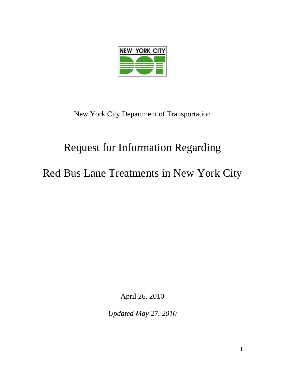

New York City Department of Transportation

## Request for Information Regarding

Red Bus Lane Treatments in New York City

April 26, 2010

*Updated May 27, 2010*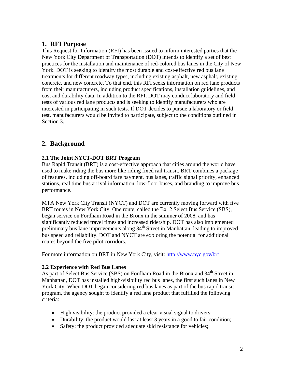## **1. RFI Purpose**

This Request for Information (RFI) has been issued to inform interested parties that the New York City Department of Transportation (DOT) intends to identify a set of best practices for the installation and maintenance of red-colored bus lanes in the City of New York. DOT is seeking to identify the most durable and cost-effective red bus lane treatments for different roadway types, including existing asphalt, new asphalt, existing concrete, and new concrete. To that end, this RFI seeks information on red lane products from their manufacturers, including product specifications, installation guidelines, and cost and durability data. In addition to the RFI, DOT may conduct laboratory and field tests of various red lane products and is seeking to identify manufacturers who are interested in participating in such tests. If DOT decides to pursue a laboratory or field test, manufacturers would be invited to participate, subject to the conditions outlined in Section 3.

## **2. Background**

#### **2.1 The Joint NYCT-DOT BRT Program**

Bus Rapid Transit (BRT) is a cost-effective approach that cities around the world have used to make riding the bus more like riding fixed rail transit. BRT combines a package of features, including off-board fare payment, bus lanes, traffic signal priority, enhanced stations, real time bus arrival information, low-floor buses, and branding to improve bus performance.

MTA New York City Transit (NYCT) and DOT are currently moving forward with five BRT routes in New York City. One route, called the Bx12 Select Bus Service (SBS), began service on Fordham Road in the Bronx in the summer of 2008, and has significantly reduced travel times and increased ridership. DOT has also implemented preliminary bus lane improvements along 34<sup>th</sup> Street in Manhattan, leading to improved bus speed and reliability. DOT and NYCT are exploring the potential for additional routes beyond the five pilot corridors.

For more information on BRT in New York City, visit: http://www.nyc.gov/brt

#### **2.2 Experience with Red Bus Lanes**

As part of Select Bus Service (SBS) on Fordham Road in the Bronx and 34<sup>th</sup> Street in Manhattan, DOT has installed high-visibility red bus lanes, the first such lanes in New York City. When DOT began considering red bus lanes as part of the bus rapid transit program, the agency sought to identify a red lane product that fulfilled the following criteria:

- High visibility: the product provided a clear visual signal to drivers;
- Durability: the product would last at least 3 years in a good to fair condition;
- Safety: the product provided adequate skid resistance for vehicles;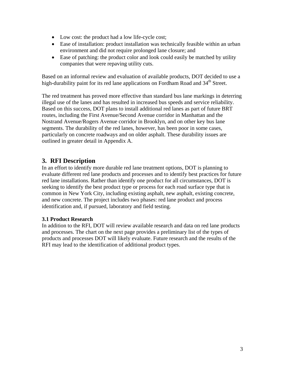- Low cost: the product had a low life-cycle cost;
- Ease of installation: product installation was technically feasible within an urban environment and did not require prolonged lane closure; and
- Ease of patching: the product color and look could easily be matched by utility companies that were repaving utility cuts.

Based on an informal review and evaluation of available products, DOT decided to use a high-durability paint for its red lane applications on Fordham Road and 34<sup>th</sup> Street.

The red treatment has proved more effective than standard bus lane markings in deterring illegal use of the lanes and has resulted in increased bus speeds and service reliability. Based on this success, DOT plans to install additional red lanes as part of future BRT routes, including the First Avenue/Second Avenue corridor in Manhattan and the Nostrand Avenue/Rogers Avenue corridor in Brooklyn, and on other key bus lane segments. The durability of the red lanes, however, has been poor in some cases, particularly on concrete roadways and on older asphalt. These durability issues are outlined in greater detail in Appendix A.

## **3. RFI Description**

In an effort to identify more durable red lane treatment options, DOT is planning to evaluate different red lane products and processes and to identify best practices for future red lane installations. Rather than identify one product for all circumstances, DOT is seeking to identify the best product type or process for each road surface type that is common in New York City, including existing asphalt, new asphalt, existing concrete, and new concrete. The project includes two phases: red lane product and process identification and, if pursued, laboratory and field testing.

#### **3.1 Product Research**

In addition to the RFI, DOT will review available research and data on red lane products and processes. The chart on the next page provides a preliminary list of the types of products and processes DOT will likely evaluate. Future research and the results of the RFI may lead to the identification of additional product types.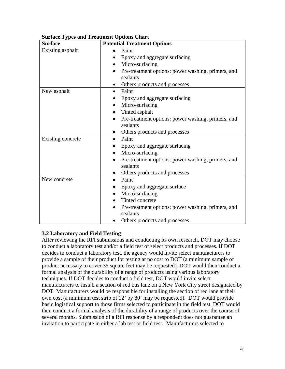| <b>Surface</b>    | <b>Potential Treatment Options</b>                             |
|-------------------|----------------------------------------------------------------|
| Existing asphalt  | Paint<br>$\bullet$                                             |
|                   | Epoxy and aggregate surfacing                                  |
|                   | Micro-surfacing                                                |
|                   | Pre-treatment options: power washing, primers, and             |
|                   | sealants                                                       |
|                   | Others products and processes                                  |
| New asphalt       | Paint                                                          |
|                   | Epoxy and aggregate surfacing                                  |
|                   | Micro-surfacing<br>$\bullet$                                   |
|                   | Tinted asphalt<br>$\bullet$                                    |
|                   | Pre-treatment options: power washing, primers, and             |
|                   | sealants                                                       |
|                   | Others products and processes                                  |
| Existing concrete | Paint<br>$\bullet$                                             |
|                   | Epoxy and aggregate surfacing                                  |
|                   | Micro-surfacing                                                |
|                   | Pre-treatment options: power washing, primers, and<br>sealants |
|                   | Others products and processes                                  |
| New concrete      | Paint                                                          |
|                   | Epoxy and aggregate surface                                    |
|                   | Micro-surfacing<br>$\bullet$                                   |
|                   | Tinted concrete<br>$\bullet$                                   |
|                   | Pre-treatment options: power washing, primers, and             |
|                   | sealants                                                       |
|                   | Others products and processes                                  |

#### **Surface Types and Treatment Options Chart**

#### **3.2 Laboratory and Field Testing**

After reviewing the RFI submissions and conducting its own research, DOT may choose to conduct a laboratory test and/or a field test of select products and processes. If DOT decides to conduct a laboratory test, the agency would invite select manufacturers to provide a sample of their product for testing at no cost to DOT (a minimum sample of product necessary to cover 35 square feet may be requested). DOT would then conduct a formal analysis of the durability of a range of products using various laboratory techniques. If DOT decides to conduct a field test, DOT would invite select manufacturers to install a section of red bus lane on a New York City street designated by DOT. Manufacturers would be responsible for installing the section of red lane at their own cost (a minimum test strip of 12' by 80' may be requested). DOT would provide basic logistical support to those firms selected to participate in the field test. DOT would then conduct a formal analysis of the durability of a range of products over the course of several months. Submission of a RFI response by a respondent does not guarantee an invitation to participate in either a lab test or field test. Manufacturers selected to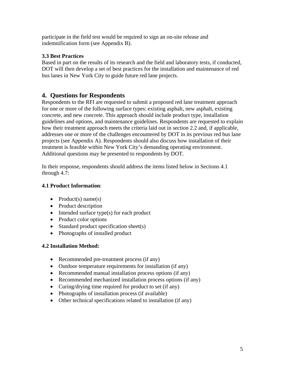participate in the field test would be required to sign an on-site release and indemnification form (see Appendix B).

#### **3.3 Best Practices**

Based in part on the results of its research and the field and laboratory tests, if conducted, DOT will then develop a set of best practices for the installation and maintenance of red bus lanes in New York City to guide future red lane projects.

## **4. Questions for Respondents**

Respondents to the RFI are requested to submit a proposed red lane treatment approach for one or more of the following surface types: existing asphalt, new asphalt, existing concrete, and new concrete. This approach should include product type, installation guidelines and options, and maintenance guidelines. Respondents are requested to explain how their treatment approach meets the criteria laid out in section 2.2 and, if applicable, addresses one or more of the challenges encountered by DOT in its previous red bus lane projects (see Appendix A). Respondents should also discuss how installation of their treatment is feasible within New York City's demanding operating environment. Additional questions may be presented to respondents by DOT.

In their response, respondents should address the items listed below in Sections 4.1 through 4.7:

#### **4.1 Product Information**:

- Product(s) name(s)
- Product description
- Intended surface type(s) for each product
- Product color options
- Standard product specification sheet(s)
- Photographs of installed product

#### **4.2 Installation Method:**

- Recommended pre-treatment process (if any)
- Outdoor temperature requirements for installation (if any)
- Recommended manual installation process options (if any)
- Recommended mechanized installation process options (if any)
- Curing/drying time required for product to set (if any)
- Photographs of installation process (if available)
- Other technical specifications related to installation (if any)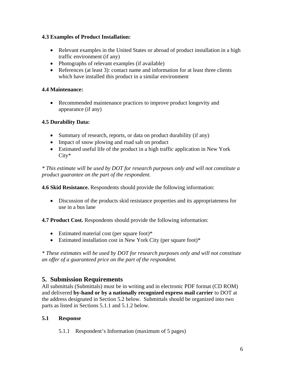#### **4.3 Examples of Product Installation:**

- Relevant examples in the United States or abroad of product installation in a high traffic environment (if any)
- Photographs of relevant examples (if available)
- References (at least 3): contact name and information for at least three clients which have installed this product in a similar environment

#### **4.4 Maintenance:**

• Recommended maintenance practices to improve product longevity and appearance (if any)

#### **4.5 Durability Data:**

- Summary of research, reports, or data on product durability (if any)
- Impact of snow plowing and road salt on product
- Estimated useful life of the product in a high traffic application in New York City\*

*\* This estimate will be used by DOT for research purposes only and will not constitute a product guarantee on the part of the respondent.* 

**4.6 Skid Resistance.** Respondents should provide the following information:

• Discussion of the products skid resistance properties and its appropriateness for use in a bus lane

**4.7 Product Cost.** Respondents should provide the following information:

- Estimated material cost (per square foot)\*
- Estimated installation cost in New York City (per square foot)\*

*\* These estimates will be used by DOT for research purposes only and will not constitute an offer of a guaranteed price on the part of the respondent.* 

## **5. Submission Requirements**

All submittals (Submittals) must be in writing and in electronic PDF format (CD ROM) and delivered **by-hand or by a nationally recognized express mail carrier** to DOT at the address designated in Section 5.2 below. Submittals should be organized into two parts as listed in Sections 5.1.1 and 5.1.2 below.

#### **5.1 Response**

5.1.1 Respondent's Information (maximum of 5 pages)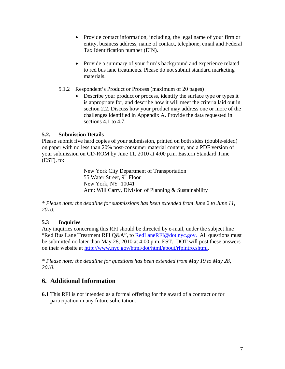- Provide contact information, including, the legal name of your firm or entity, business address, name of contact, telephone, email and Federal Tax Identification number (EIN).
- Provide a summary of your firm's background and experience related to red bus lane treatments. Please do not submit standard marketing materials.
- 5.1.2 Respondent's Product or Process (maximum of 20 pages)
	- Describe your product or process, identify the surface type or types it is appropriate for, and describe how it will meet the criteria laid out in section 2.2. Discuss how your product may address one or more of the challenges identified in Appendix A. Provide the data requested in sections 4.1 to 4.7.

#### **5.2. Submission Details**

Please submit five hard copies of your submission, printed on both sides (double-sided) on paper with no less than 20% post-consumer material content, and a PDF version of your submission on CD-ROM by June 11, 2010 at 4:00 p.m. Eastern Standard Time (EST), to:

> New York City Department of Transportation 55 Water Street, 9<sup>th</sup> Floor New York, NY 10041 Attn: Will Carry, Division of Planning & Sustainability

*\* Please note: the deadline for submissions has been extended from June 2 to June 11, 2010.* 

#### **5.3 Inquiries**

Any inquiries concerning this RFI should be directed by e-mail, under the subject line "Red Bus Lane Treatment RFI Q&A", to RedLaneRFI@dot.nyc.gov. All questions must be submitted no later than May 28, 2010 at 4:00 p.m. EST. DOT will post these answers on their website at http://www.nyc.gov/html/dot/html/about/rfpintro.shtml.

*\* Please note: the deadline for questions has been extended from May 19 to May 28, 2010.* 

## **6. Additional Information**

**6.1** This RFI is not intended as a formal offering for the award of a contract or for participation in any future solicitation.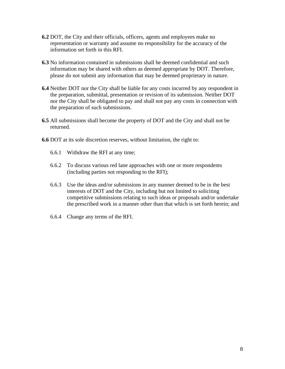- **6.2** DOT, the City and their officials, officers, agents and employees make no representation or warranty and assume no responsibility for the accuracy of the information set forth in this RFI.
- **6.3** No information contained in submissions shall be deemed confidential and such information may be shared with others as deemed appropriate by DOT. Therefore, please do not submit any information that may be deemed proprietary in nature.
- **6.4** Neither DOT nor the City shall be liable for any costs incurred by any respondent in the preparation, submittal, presentation or revision of its submission. Neither DOT nor the City shall be obligated to pay and shall not pay any costs in connection with the preparation of such submissions.
- **6.5** All submissions shall become the property of DOT and the City and shall not be returned.
- **6.6** DOT at its sole discretion reserves, without limitation, the right to:
	- 6.6.1 Withdraw the RFI at any time;
	- 6.6.2 To discuss various red lane approaches with one or more respondents (including parties not responding to the RFI);
	- 6.6.3 Use the ideas and/or submissions in any manner deemed to be in the best interests of DOT and the City, including but not limited to soliciting competitive submissions relating to such ideas or proposals and/or undertake the prescribed work in a manner other than that which is set forth herein; and
	- 6.6.4 Change any terms of the RFI.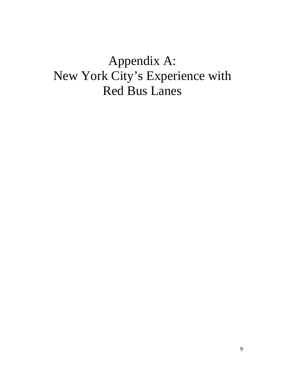# Appendix A: New York City's Experience with Red Bus Lanes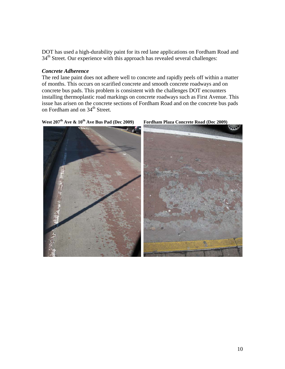DOT has used a high-durability paint for its red lane applications on Fordham Road and 34<sup>th</sup> Street. Our experience with this approach has revealed several challenges:

#### *Concrete Adherence*

The red lane paint does not adhere well to concrete and rapidly peels off within a matter of months. This occurs on scarified concrete and smooth concrete roadways and on concrete bus pads. This problem is consistent with the challenges DOT encounters installing thermoplastic road markings on concrete roadways such as First Avenue. This issue has arisen on the concrete sections of Fordham Road and on the concrete bus pads on Fordham and on 34<sup>th</sup> Street.



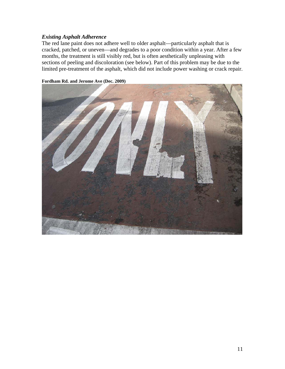#### *Existing Asphalt Adherence*

The red lane paint does not adhere well to older asphalt—particularly asphalt that is cracked, patched, or uneven—and degrades to a poor condition within a year. After a few months, the treatment is still visibly red, but is often aesthetically unpleasing with sections of peeling and discoloration (see below). Part of this problem may be due to the limited pre-treatment of the asphalt, which did not include power washing or crack repair.



**Fordham Rd. and Jerome Ave (Dec. 2009)**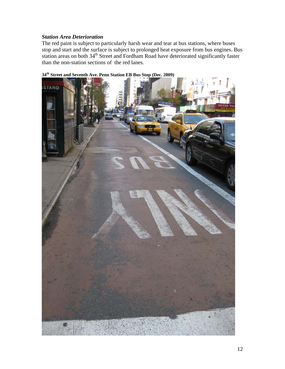#### *Station Area Deterioration*

The red paint is subject to particularly harsh wear and tear at bus stations, where buses stop and start and the surface is subject to prolonged heat exposure from bus engines. Bus station areas on both 34<sup>th</sup> Street and Fordham Road have deteriorated significantly faster than the non-station sections of the red lanes.



**34th Street and Seventh Ave. Penn Station EB Bus Stop (Dec. 2009)**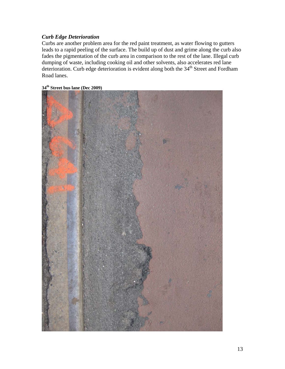#### *Curb Edge Deterioration*

Curbs are another problem area for the red paint treatment, as water flowing to gutters leads to a rapid peeling of the surface. The build up of dust and grime along the curb also fades the pigmentation of the curb area in comparison to the rest of the lane. Illegal curb dumping of waste, including cooking oil and other solvents, also accelerates red lane deterioration. Curb edge deterioration is evident along both the  $34<sup>th</sup>$  Street and Fordham Road lanes.

#### **34th Street bus lane (Dec 2009)**

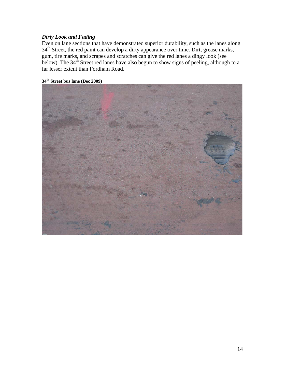#### *Dirty Look and Fading*

Even on lane sections that have demonstrated superior durability, such as the lanes along 34<sup>th</sup> Street, the red paint can develop a dirty appearance over time. Dirt, grease marks, gum, tire marks, and scrapes and scratches can give the red lanes a dingy look (see below). The  $34<sup>th</sup>$  Street red lanes have also begun to show signs of peeling, although to a far lesser extent than Fordham Road.

### **34th Street bus lane (Dec 2009)**

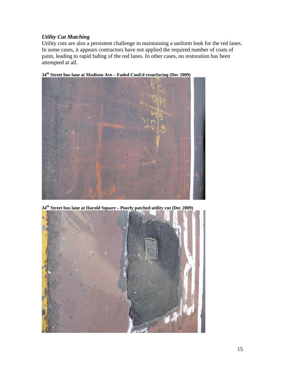#### *Utility Cut Matching*

Utility cuts are also a persistent challenge in maintaining a uniform look for the red lanes. In some cases, it appears contractors have not applied the required number of coats of paint, leading to rapid fading of the red lanes. In other cases, no restoration has been attempted at all.



**34th Street bus lane at Madison Ave – Faded ConEd resurfacing (Dec 2009)** 

**34th Street bus lane at Harold Square – Poorly patched utility cut (Dec 2009)** 

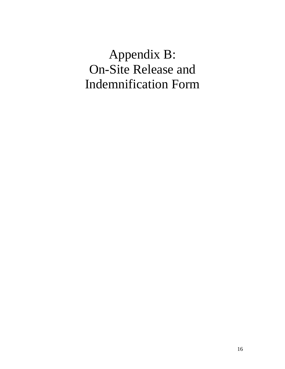# Appendix B: On-Site Release and Indemnification Form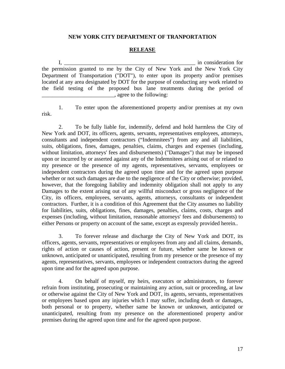#### **NEW YORK CITY DEPARTMENT OF TRANPORTATION**

#### **RELEASE**

I, \_\_\_\_\_\_\_\_\_\_\_\_\_\_\_\_\_\_\_\_\_\_\_\_\_\_\_\_\_\_\_\_\_\_\_\_\_\_\_\_\_\_\_\_\_\_\_ in consideration for the permission granted to me by the City of New York and the New York City Department of Transportation ("DOT"), to enter upon its property and/or premises located at any area designated by DOT for the purpose of conducting any work related to the field testing of the proposed bus lane treatments during the period of  $\Box$ , agree to the following:

risk.

1. To enter upon the aforementioned property and/or premises at my own

 2. To be fully liable for, indemnify, defend and hold harmless the City of New York and DOT, its officers, agents, servants, representatives employees, attorneys, consultants and independent contractors ("Indemnitees") from any and all liabilities, suits, obligations, fines, damages, penalties, claims, charges and expenses (including, without limitation, attorneys' fees and disbursements) ("Damages") that may be imposed upon or incurred by or asserted against any of the Indemnitees arising out of or related to my presence or the presence of my agents, representatives, servants, employees or independent contractors during the agreed upon time and for the agreed upon purpose whether or not such damages are due to the negligence of the City or otherwise; provided, however, that the foregoing liability and indemnity obligation shall not apply to any Damages to the extent arising out of any willful misconduct or gross negligence of the City, its officers, employees, servants, agents, attorneys, consultants or independent contractors. Further, it is a condition of this Agreement that the City assumes no liability for liabilities, suits, obligations, fines, damages, penalties, claims, costs, charges and expenses (including, without limitation, reasonable attorneys' fees and disbursements) to either Persons or property on account of the same, except as expressly provided herein..

 3. To forever release and discharge the City of New York and DOT, its officers, agents, servants, representatives or employees from any and all claims, demands, rights of action or causes of action, present or future, whether same be known or unknown, anticipated or unanticipated, resulting from my presence or the presence of my agents, representatives, servants, employees or independent contractors during the agreed upon time and for the agreed upon purpose.

 4. On behalf of myself, my heirs, executors or administrators, to forever refrain from instituting, prosecuting or maintaining any action, suit or proceeding, at law or otherwise against the City of New York and DOT, its agents, servants, representatives or employees based upon any injuries which I may suffer, including death or damages, both personal or to property, whether same be known or unknown, anticipated or unanticipated, resulting from my presence on the aforementioned property and/or premises during the agreed upon time and for the agreed upon purpose.